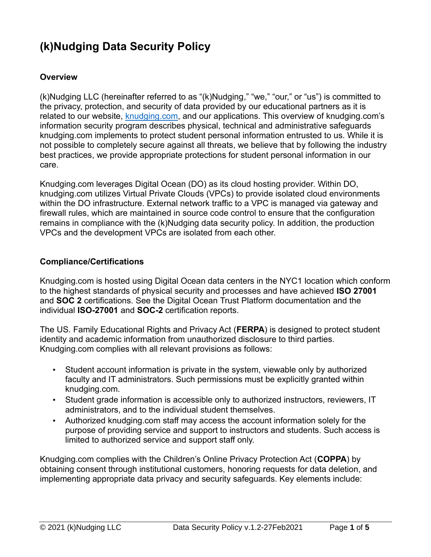# **(k)Nudging Data Security Policy**

#### **Overview**

(k)Nudging LLC (hereinafter referred to as "(k)Nudging," "we," "our," or "us") is committed to the privacy, protection, and security of data provided by our educational partners as it is related to our website, [knudging.com,](http://www.knudging.com/) and our applications. This overview of knudging.com's information security program describes physical, technical and administrative safeguards knudging.com implements to protect student personal information entrusted to us. While it is not possible to completely secure against all threats, we believe that by following the industry best practices, we provide appropriate protections for student personal information in our care.

Knudging.com leverages Digital Ocean (DO) as its cloud hosting provider. Within DO, knudging.com utilizes Virtual Private Clouds (VPCs) to provide isolated cloud environments within the DO infrastructure. External network traffic to a VPC is managed via gateway and firewall rules, which are maintained in source code control to ensure that the configuration remains in compliance with the (k)Nudging data security policy. In addition, the production VPCs and the development VPCs are isolated from each other.

#### **Compliance/Certifications**

Knudging.com is hosted using Digital Ocean data centers in the NYC1 location which conform to the highest standards of physical security and processes and have achieved **ISO 27001** and **SOC 2** certifications. See the Digital Ocean [Trust Platform documentation](https://www.digitalocean.com/trust/) and the individual **ISO-27001** and **SOC-2** [certification reports.](https://www.digitalocean.com/trust/certification-reports)

The US. Family Educational Rights and Privacy Act (**FERPA**) is designed to protect student identity and academic information from unauthorized disclosure to third parties. Knudging.com complies with all relevant provisions as follows:

- Student account information is private in the system, viewable only by authorized faculty and IT administrators. Such permissions must be explicitly granted within knudging.com.
- Student grade information is accessible only to authorized instructors, reviewers, IT administrators, and to the individual student themselves.
- Authorized knudging.com staff may access the account information solely for the purpose of providing service and support to instructors and students. Such access is limited to authorized service and support staff only.

Knudging.com complies with the Children's Online Privacy Protection Act (**COPPA**) by obtaining consent through institutional customers, honoring requests for data deletion, and implementing appropriate data privacy and security safeguards. Key elements include: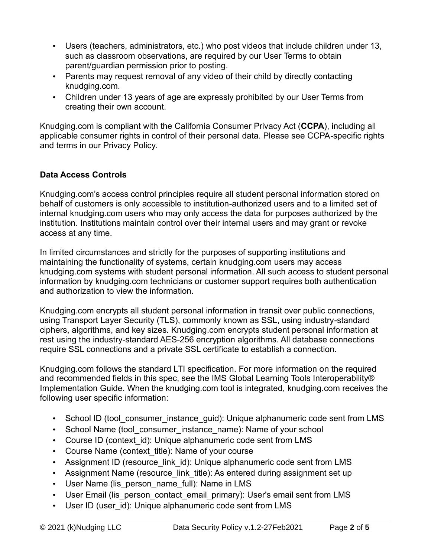- Users (teachers, administrators, etc.) who post videos that include children under 13, such as classroom observations, are required by our User Terms to obtain parent/guardian permission prior to posting.
- Parents may request removal of any video of their child by directly contacting knudging.com.
- Children under 13 years of age are expressly prohibited by our User Terms from creating their own account.

Knudging.com is compliant with the California Consumer Privacy Act (**CCPA**), including all applicable consumer rights in control of their personal data. Please see CCPA-specific rights and terms in our Privacy Policy.

## **Data Access Controls**

Knudging.com's access control principles require all student personal information stored on behalf of customers is only accessible to institution-authorized users and to a limited set of internal knudging.com users who may only access the data for purposes authorized by the institution. Institutions maintain control over their internal users and may grant or revoke access at any time.

In limited circumstances and strictly for the purposes of supporting institutions and maintaining the functionality of systems, certain knudging.com users may access knudging.com systems with student personal information. All such access to student personal information by knudging.com technicians or customer support requires both authentication and authorization to view the information.

Knudging.com encrypts all student personal information in transit over public connections, using Transport Layer Security (TLS), commonly known as SSL, using industry-standard ciphers, algorithms, and key sizes. Knudging.com encrypts student personal information at rest using the industry-standard AES-256 encryption algorithms. All database connections require SSL connections and a private SSL certificate to establish a connection.

Knudging.com follows the standard LTI specification. For more information on the required and recommended fields in this spec, see the [IMS Global Learning Tools Interoperability®](https://www.imsglobal.org/specs/ltiv1p2/implementation-guide)  [Implementation Guide.](https://www.imsglobal.org/specs/ltiv1p2/implementation-guide) When the knudging.com tool is integrated, knudging.com receives the following user specific information:

- School ID (tool consumer instance quid): Unique alphanumeric code sent from LMS
- School Name (tool consumer instance name): Name of your school
- Course ID (context id): Unique alphanumeric code sent from LMS
- Course Name (context title): Name of your course
- Assignment ID (resource\_link\_id): Unique alphanumeric code sent from LMS
- Assignment Name (resource\_link\_title): As entered during assignment set up
- User Name (lis person name full): Name in LMS
- User Email (lis person contact email primary): User's email sent from LMS
- User ID (user id): Unique alphanumeric code sent from LMS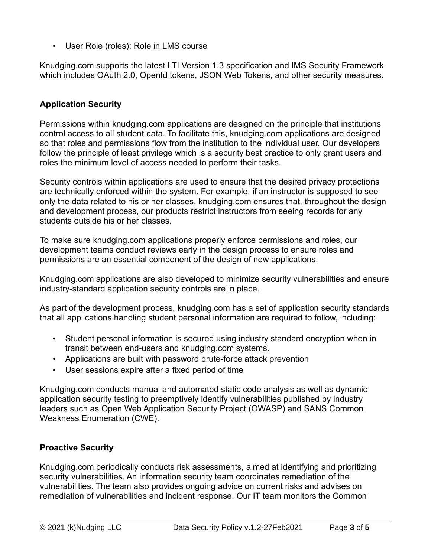• User Role (roles): Role in LMS course

Knudging.com supports the latest [LTI Version 1.3 specification](http://www.imsglobal.org/spec/lti/v1p3/) and [IMS Security Framework](https://www.imsglobal.org/spec/security/v1p0/) which includes OAuth 2.0, OpenId tokens, JSON Web Tokens, and other security measures.

# **Application Security**

Permissions within knudging.com applications are designed on the principle that institutions control access to all student data. To facilitate this, knudging.com applications are designed so that roles and permissions flow from the institution to the individual user. Our developers follow the principle of least privilege which is a security best practice to only grant users and roles the minimum level of access needed to perform their tasks.

Security controls within applications are used to ensure that the desired privacy protections are technically enforced within the system. For example, if an instructor is supposed to see only the data related to his or her classes, knudging.com ensures that, throughout the design and development process, our products restrict instructors from seeing records for any students outside his or her classes.

To make sure knudging.com applications properly enforce permissions and roles, our development teams conduct reviews early in the design process to ensure roles and permissions are an essential component of the design of new applications.

Knudging.com applications are also developed to minimize security vulnerabilities and ensure industry-standard application security controls are in place.

As part of the development process, knudging.com has a set of application security standards that all applications handling student personal information are required to follow, including:

- Student personal information is secured using industry standard encryption when in transit between end-users and knudging.com systems.
- Applications are built with password brute-force attack prevention
- User sessions expire after a fixed period of time

Knudging.com conducts manual and automated static code analysis as well as dynamic application security testing to preemptively identify vulnerabilities published by industry leaders such as Open Web Application Security Project (OWASP) and SANS Common Weakness Enumeration (CWE).

## **Proactive Security**

Knudging.com periodically conducts risk assessments, aimed at identifying and prioritizing security vulnerabilities. An information security team coordinates remediation of the vulnerabilities. The team also provides ongoing advice on current risks and advises on remediation of vulnerabilities and incident response. Our IT team monitors the Common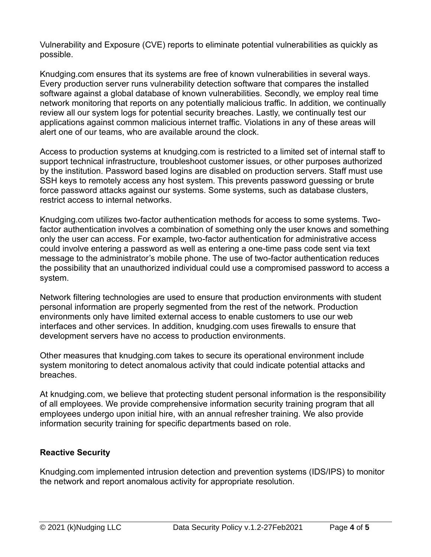Vulnerability and Exposure (CVE) reports to eliminate potential vulnerabilities as quickly as possible.

Knudging.com ensures that its systems are free of known vulnerabilities in several ways. Every production server runs vulnerability detection software that compares the installed software against a global database of known vulnerabilities. Secondly, we employ real time network monitoring that reports on any potentially malicious traffic. In addition, we continually review all our system logs for potential security breaches. Lastly, we continually test our applications against common malicious internet traffic. Violations in any of these areas will alert one of our teams, who are available around the clock.

Access to production systems at knudging.com is restricted to a limited set of internal staff to support technical infrastructure, troubleshoot customer issues, or other purposes authorized by the institution. Password based logins are disabled on production servers. Staff must use SSH keys to remotely access any host system. This prevents password guessing or brute force password attacks against our systems. Some systems, such as database clusters, restrict access to internal networks.

Knudging.com utilizes two-factor authentication methods for access to some systems. Twofactor authentication involves a combination of something only the user knows and something only the user can access. For example, two-factor authentication for administrative access could involve entering a password as well as entering a one-time pass code sent via text message to the administrator's mobile phone. The use of two-factor authentication reduces the possibility that an unauthorized individual could use a compromised password to access a system.

Network filtering technologies are used to ensure that production environments with student personal information are properly segmented from the rest of the network. Production environments only have limited external access to enable customers to use our web interfaces and other services. In addition, knudging.com uses firewalls to ensure that development servers have no access to production environments.

Other measures that knudging.com takes to secure its operational environment include system monitoring to detect anomalous activity that could indicate potential attacks and breaches.

At knudging.com, we believe that protecting student personal information is the responsibility of all employees. We provide comprehensive information security training program that all employees undergo upon initial hire, with an annual refresher training. We also provide information security training for specific departments based on role.

# **Reactive Security**

Knudging.com implemented intrusion detection and prevention systems (IDS/IPS) to monitor the network and report anomalous activity for appropriate resolution.